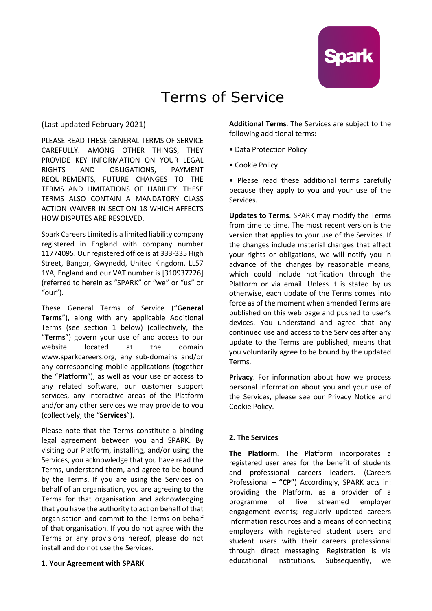

# Terms of Service

(Last updated February 2021)

PLEASE READ THESE GENERAL TERMS OF SERVICE CAREFULLY. AMONG OTHER THINGS, THEY PROVIDE KEY INFORMATION ON YOUR LEGAL RIGHTS AND OBLIGATIONS, PAYMENT REQUIREMENTS, FUTURE CHANGES TO THE TERMS AND LIMITATIONS OF LIABILITY. THESE TERMS ALSO CONTAIN A MANDATORY CLASS ACTION WAIVER IN SECTION 18 WHICH AFFECTS HOW DISPUTES ARE RESOLVED.

Spark Careers Limited is a limited liability company registered in England with company number 11774095. Our registered office is at 333-335 High Street, Bangor, Gwynedd, United Kingdom, LL57 1YA, England and our VAT number is [310937226] (referred to herein as "SPARK" or "we" or "us" or "our").

These General Terms of Service ("**General Terms**"), along with any applicable Additional Terms (see section 1 below) (collectively, the "**Terms**") govern your use of and access to our website located at the domain www.sparkcareers.org, any sub-domains and/or any corresponding mobile applications (together the "**Platform**"), as well as your use or access to any related software, our customer support services, any interactive areas of the Platform and/or any other services we may provide to you (collectively, the "**Services**").

Please note that the Terms constitute a binding legal agreement between you and SPARK. By visiting our Platform, installing, and/or using the Services, you acknowledge that you have read the Terms, understand them, and agree to be bound by the Terms. If you are using the Services on behalf of an organisation, you are agreeing to the Terms for that organisation and acknowledging that you have the authority to act on behalf of that organisation and commit to the Terms on behalf of that organisation. If you do not agree with the Terms or any provisions hereof, please do not install and do not use the Services.

## **1. Your Agreement with SPARK**

**Additional Terms**. The Services are subject to the following additional terms:

- Data Protection Policy
- Cookie Policy

• Please read these additional terms carefully because they apply to you and your use of the Services.

**Updates to Terms**. SPARK may modify the Terms from time to time. The most recent version is the version that applies to your use of the Services. If the changes include material changes that affect your rights or obligations, we will notify you in advance of the changes by reasonable means, which could include notification through the Platform or via email. Unless it is stated by us otherwise, each update of the Terms comes into force as of the moment when amended Terms are published on this web page and pushed to user's devices. You understand and agree that any continued use and access to the Services after any update to the Terms are published, means that you voluntarily agree to be bound by the updated Terms.

**Privacy**. For information about how we process personal information about you and your use of the Services, please see our Privacy Notice and Cookie Policy.

## **2. The Services**

**The Platform.** The Platform incorporates a registered user area for the benefit of students and professional careers leaders. (Careers Professional – **"CP"**) Accordingly, SPARK acts in: providing the Platform, as a provider of a programme of live streamed employer engagement events; regularly updated careers information resources and a means of connecting employers with registered student users and student users with their careers professional through direct messaging. Registration is via educational institutions. Subsequently, we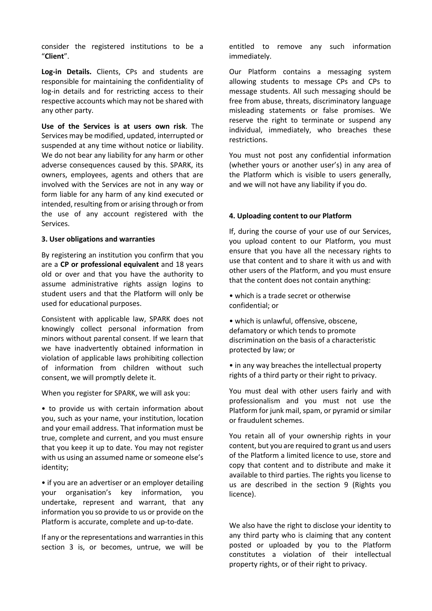consider the registered institutions to be a "**Client**".

**Log-in Details.** Clients, CPs and students are responsible for maintaining the confidentiality of log-in details and for restricting access to their respective accounts which may not be shared with any other party.

**Use of the Services is at users own risk**. The Services may be modified, updated, interrupted or suspended at any time without notice or liability. We do not bear any liability for any harm or other adverse consequences caused by this. SPARK, its owners, employees, agents and others that are involved with the Services are not in any way or form liable for any harm of any kind executed or intended, resulting from or arising through or from the use of any account registered with the Services.

## **3. User obligations and warranties**

By registering an institution you confirm that you are a **CP or professional equivalent** and 18 years old or over and that you have the authority to assume administrative rights assign logins to student users and that the Platform will only be used for educational purposes.

Consistent with applicable law, SPARK does not knowingly collect personal information from minors without parental consent. If we learn that we have inadvertently obtained information in violation of applicable laws prohibiting collection of information from children without such consent, we will promptly delete it.

When you register for SPARK, we will ask you:

• to provide us with certain information about you, such as your name, your institution, location and your email address. That information must be true, complete and current, and you must ensure that you keep it up to date. You may not register with us using an assumed name or someone else's identity;

• if you are an advertiser or an employer detailing your organisation's key information, you undertake, represent and warrant, that any information you so provide to us or provide on the Platform is accurate, complete and up-to-date.

If any or the representations and warranties in this section 3 is, or becomes, untrue, we will be entitled to remove any such information immediately.

Our Platform contains a messaging system allowing students to message CPs and CPs to message students. All such messaging should be free from abuse, threats, discriminatory language misleading statements or false promises. We reserve the right to terminate or suspend any individual, immediately, who breaches these restrictions.

You must not post any confidential information (whether yours or another user's) in any area of the Platform which is visible to users generally, and we will not have any liability if you do.

## **4. Uploading content to our Platform**

If, during the course of your use of our Services, you upload content to our Platform, you must ensure that you have all the necessary rights to use that content and to share it with us and with other users of the Platform, and you must ensure that the content does not contain anything:

• which is a trade secret or otherwise confidential; or

• which is unlawful, offensive, obscene, defamatory or which tends to promote discrimination on the basis of a characteristic protected by law; or

• in any way breaches the intellectual property rights of a third party or their right to privacy.

You must deal with other users fairly and with professionalism and you must not use the Platform for junk mail, spam, or pyramid or similar or fraudulent schemes.

You retain all of your ownership rights in your content, but you are required to grant us and users of the Platform a limited licence to use, store and copy that content and to distribute and make it available to third parties. The rights you license to us are described in the section 9 (Rights you licence).

We also have the right to disclose your identity to any third party who is claiming that any content posted or uploaded by you to the Platform constitutes a violation of their intellectual property rights, or of their right to privacy.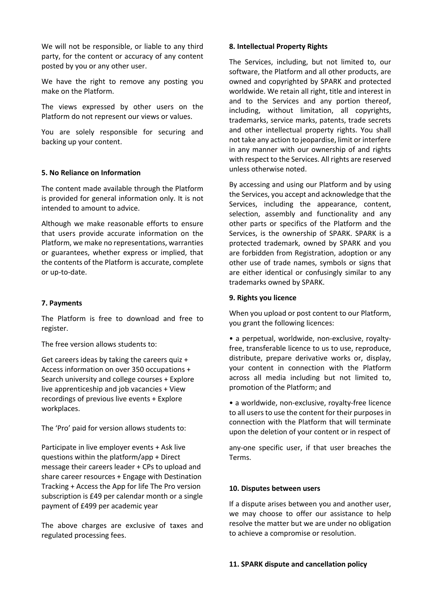We will not be responsible, or liable to any third party, for the content or accuracy of any content posted by you or any other user.

We have the right to remove any posting you make on the Platform.

The views expressed by other users on the Platform do not represent our views or values.

You are solely responsible for securing and backing up your content.

## **5. No Reliance on Information**

The content made available through the Platform is provided for general information only. It is not intended to amount to advice.

Although we make reasonable efforts to ensure that users provide accurate information on the Platform, we make no representations, warranties or guarantees, whether express or implied, that the contents of the Platform is accurate, complete or up-to-date.

#### **7. Payments**

The Platform is free to download and free to register.

The free version allows students to:

Get careers ideas by taking the careers quiz + Access information on over 350 occupations + Search university and college courses + Explore live apprenticeship and job vacancies + View recordings of previous live events + Explore workplaces.

The 'Pro' paid for version allows students to:

Participate in live employer events + Ask live questions within the platform/app + Direct message their careers leader + CPs to upload and share career resources + Engage with Destination Tracking + Access the App for life The Pro version subscription is £49 per calendar month or a single payment of £499 per academic year

The above charges are exclusive of taxes and regulated processing fees.

#### **8. Intellectual Property Rights**

The Services, including, but not limited to, our software, the Platform and all other products, are owned and copyrighted by SPARK and protected worldwide. We retain all right, title and interest in and to the Services and any portion thereof, including, without limitation, all copyrights, trademarks, service marks, patents, trade secrets and other intellectual property rights. You shall not take any action to jeopardise, limit or interfere in any manner with our ownership of and rights with respect to the Services. All rights are reserved unless otherwise noted.

By accessing and using our Platform and by using the Services, you accept and acknowledge that the Services, including the appearance, content, selection, assembly and functionality and any other parts or specifics of the Platform and the Services, is the ownership of SPARK. SPARK is a protected trademark, owned by SPARK and you are forbidden from Registration, adoption or any other use of trade names, symbols or signs that are either identical or confusingly similar to any trademarks owned by SPARK.

#### **9. Rights you licence**

When you upload or post content to our Platform, you grant the following licences:

• a perpetual, worldwide, non-exclusive, royaltyfree, transferable licence to us to use, reproduce, distribute, prepare derivative works or, display, your content in connection with the Platform across all media including but not limited to, promotion of the Platform; and

• a worldwide, non-exclusive, royalty-free licence to all users to use the content for their purposes in connection with the Platform that will terminate upon the deletion of your content or in respect of

any-one specific user, if that user breaches the Terms.

#### **10. Disputes between users**

If a dispute arises between you and another user, we may choose to offer our assistance to help resolve the matter but we are under no obligation to achieve a compromise or resolution.

#### **11. SPARK dispute and cancellation policy**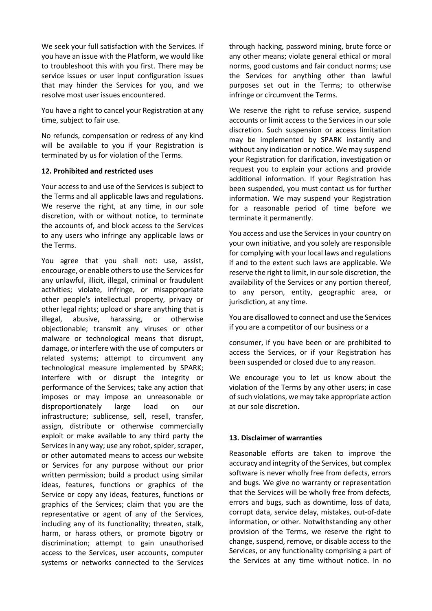We seek your full satisfaction with the Services. If you have an issue with the Platform, we would like to troubleshoot this with you first. There may be service issues or user input configuration issues that may hinder the Services for you, and we resolve most user issues encountered.

You have a right to cancel your Registration at any time, subject to fair use.

No refunds, compensation or redress of any kind will be available to you if your Registration is terminated by us for violation of the Terms.

## **12. Prohibited and restricted uses**

Your access to and use of the Services is subject to the Terms and all applicable laws and regulations. We reserve the right, at any time, in our sole discretion, with or without notice, to terminate the accounts of, and block access to the Services to any users who infringe any applicable laws or the Terms.

You agree that you shall not: use, assist, encourage, or enable others to use the Services for any unlawful, illicit, illegal, criminal or fraudulent activities; violate, infringe, or misappropriate other people's intellectual property, privacy or other legal rights; upload or share anything that is illegal, abusive, harassing, or otherwise objectionable; transmit any viruses or other malware or technological means that disrupt, damage, or interfere with the use of computers or related systems; attempt to circumvent any technological measure implemented by SPARK; interfere with or disrupt the integrity or performance of the Services; take any action that imposes or may impose an unreasonable or disproportionately large load on our infrastructure; sublicense, sell, resell, transfer, assign, distribute or otherwise commercially exploit or make available to any third party the Services in any way; use any robot, spider, scraper, or other automated means to access our website or Services for any purpose without our prior written permission; build a product using similar ideas, features, functions or graphics of the Service or copy any ideas, features, functions or graphics of the Services; claim that you are the representative or agent of any of the Services, including any of its functionality; threaten, stalk, harm, or harass others, or promote bigotry or discrimination; attempt to gain unauthorised access to the Services, user accounts, computer systems or networks connected to the Services

through hacking, password mining, brute force or any other means; violate general ethical or moral norms, good customs and fair conduct norms; use the Services for anything other than lawful purposes set out in the Terms; to otherwise infringe or circumvent the Terms.

We reserve the right to refuse service, suspend accounts or limit access to the Services in our sole discretion. Such suspension or access limitation may be implemented by SPARK instantly and without any indication or notice. We may suspend your Registration for clarification, investigation or request you to explain your actions and provide additional information. If your Registration has been suspended, you must contact us for further information. We may suspend your Registration for a reasonable period of time before we terminate it permanently.

You access and use the Services in your country on your own initiative, and you solely are responsible for complying with your local laws and regulations if and to the extent such laws are applicable. We reserve the right to limit, in our sole discretion, the availability of the Services or any portion thereof, to any person, entity, geographic area, or jurisdiction, at any time.

You are disallowed to connect and use the Services if you are a competitor of our business or a

consumer, if you have been or are prohibited to access the Services, or if your Registration has been suspended or closed due to any reason.

We encourage you to let us know about the violation of the Terms by any other users; in case of such violations, we may take appropriate action at our sole discretion.

## **13. Disclaimer of warranties**

Reasonable efforts are taken to improve the accuracy and integrity of the Services, but complex software is never wholly free from defects, errors and bugs. We give no warranty or representation that the Services will be wholly free from defects, errors and bugs, such as downtime, loss of data, corrupt data, service delay, mistakes, out-of-date information, or other. Notwithstanding any other provision of the Terms, we reserve the right to change, suspend, remove, or disable access to the Services, or any functionality comprising a part of the Services at any time without notice. In no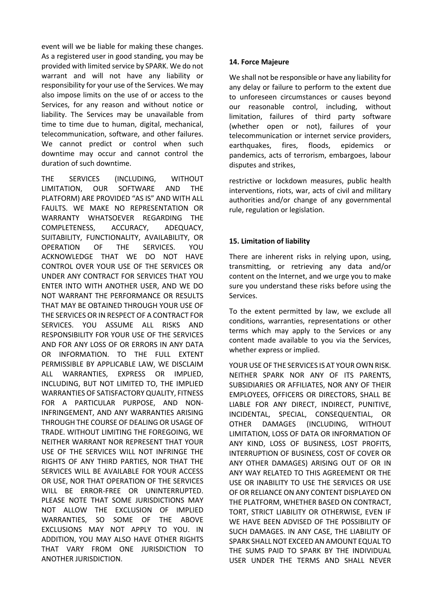event will we be liable for making these changes. As a registered user in good standing, you may be provided with limited service by SPARK. We do not warrant and will not have any liability or responsibility for your use of the Services. We may also impose limits on the use of or access to the Services, for any reason and without notice or liability. The Services may be unavailable from time to time due to human, digital, mechanical, telecommunication, software, and other failures. We cannot predict or control when such downtime may occur and cannot control the duration of such downtime.

THE SERVICES (INCLUDING, WITHOUT LIMITATION, OUR SOFTWARE AND THE PLATFORM) ARE PROVIDED "AS IS" AND WITH ALL FAULTS. WE MAKE NO REPRESENTATION OR WARRANTY WHATSOEVER REGARDING THE COMPLETENESS, ACCURACY, ADEQUACY, SUITABILITY, FUNCTIONALITY, AVAILABILITY, OR OPERATION OF THE SERVICES. YOU ACKNOWLEDGE THAT WE DO NOT HAVE CONTROL OVER YOUR USE OF THE SERVICES OR UNDER ANY CONTRACT FOR SERVICES THAT YOU ENTER INTO WITH ANOTHER USER, AND WE DO NOT WARRANT THE PERFORMANCE OR RESULTS THAT MAY BE OBTAINED THROUGH YOUR USE OF THE SERVICES OR IN RESPECT OF A CONTRACT FOR SERVICES. YOU ASSUME ALL RISKS AND RESPONSIBILITY FOR YOUR USE OF THE SERVICES AND FOR ANY LOSS OF OR ERRORS IN ANY DATA OR INFORMATION. TO THE FULL EXTENT PERMISSIBLE BY APPLICABLE LAW, WE DISCLAIM ALL WARRANTIES, EXPRESS OR IMPLIED, INCLUDING, BUT NOT LIMITED TO, THE IMPLIED WARRANTIES OF SATISFACTORY QUALITY, FITNESS FOR A PARTICULAR PURPOSE, AND NON-INFRINGEMENT, AND ANY WARRANTIES ARISING THROUGH THE COURSE OF DEALING OR USAGE OF TRADE. WITHOUT LIMITING THE FOREGOING, WE NEITHER WARRANT NOR REPRESENT THAT YOUR USE OF THE SERVICES WILL NOT INFRINGE THE RIGHTS OF ANY THIRD PARTIES, NOR THAT THE SERVICES WILL BE AVAILABLE FOR YOUR ACCESS OR USE, NOR THAT OPERATION OF THE SERVICES WILL BE ERROR-FREE OR UNINTERRUPTED. PLEASE NOTE THAT SOME JURISDICTIONS MAY NOT ALLOW THE EXCLUSION OF IMPLIED WARRANTIES, SO SOME OF THE ABOVE EXCLUSIONS MAY NOT APPLY TO YOU. IN ADDITION, YOU MAY ALSO HAVE OTHER RIGHTS THAT VARY FROM ONE JURISDICTION TO ANOTHER JURISDICTION.

## **14. Force Majeure**

We shall not be responsible or have any liability for any delay or failure to perform to the extent due to unforeseen circumstances or causes beyond our reasonable control, including, without limitation, failures of third party software (whether open or not), failures of your telecommunication or internet service providers, earthquakes, fires, floods, epidemics or pandemics, acts of terrorism, embargoes, labour disputes and strikes,

restrictive or lockdown measures, public health interventions, riots, war, acts of civil and military authorities and/or change of any governmental rule, regulation or legislation.

# **15. Limitation of liability**

There are inherent risks in relying upon, using, transmitting, or retrieving any data and/or content on the Internet, and we urge you to make sure you understand these risks before using the Services.

To the extent permitted by law, we exclude all conditions, warranties, representations or other terms which may apply to the Services or any content made available to you via the Services, whether express or implied.

YOUR USE OF THE SERVICES IS AT YOUR OWN RISK. NEITHER SPARK NOR ANY OF ITS PARENTS, SUBSIDIARIES OR AFFILIATES, NOR ANY OF THEIR EMPLOYEES, OFFICERS OR DIRECTORS, SHALL BE LIABLE FOR ANY DIRECT, INDIRECT, PUNITIVE, INCIDENTAL, SPECIAL, CONSEQUENTIAL, OR OTHER DAMAGES (INCLUDING, WITHOUT LIMITATION, LOSS OF DATA OR INFORMATION OF ANY KIND, LOSS OF BUSINESS, LOST PROFITS, INTERRUPTION OF BUSINESS, COST OF COVER OR ANY OTHER DAMAGES) ARISING OUT OF OR IN ANY WAY RELATED TO THIS AGREEMENT OR THE USE OR INABILITY TO USE THE SERVICES OR USE OF OR RELIANCE ON ANY CONTENT DISPLAYED ON THE PLATFORM, WHETHER BASED ON CONTRACT, TORT, STRICT LIABILITY OR OTHERWISE, EVEN IF WE HAVE BEEN ADVISED OF THE POSSIBILITY OF SUCH DAMAGES. IN ANY CASE, THE LIABILITY OF SPARK SHALL NOT EXCEED AN AMOUNT EQUAL TO THE SUMS PAID TO SPARK BY THE INDIVIDUAL USER UNDER THE TERMS AND SHALL NEVER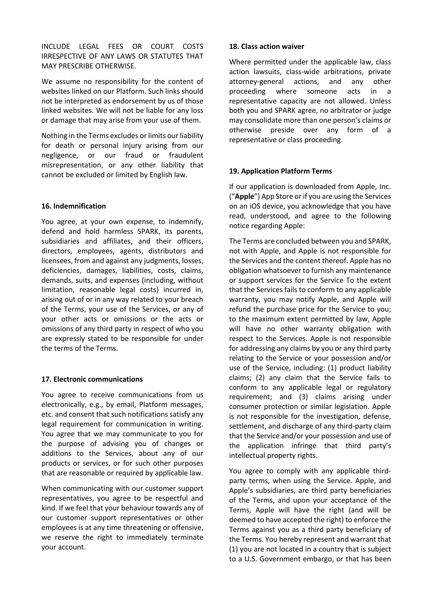INCLUDE LEGAL FEES OR COURT COSTS IRRESPECTIVE OF ANY LAWS OR STATUTES THAT MAY PRESCRIBE OTHERWISE.

We assume no responsibility for the content of websites linked on our Platform. Such links should not be interpreted as endorsement by us of those linked websites. We will not be liable for any loss or damage that may arise from your use of them.

Nothing in the Terms excludes or limits our liability for death or personal injury arising from our negligence, or our fraud or fraudulent misrepresentation, or any other liability that cannot be excluded or limited by English law.

## **16. Indemnification**

You agree, at your own expense, to indemnify, defend and hold harmless SPARK, its parents, subsidiaries and affiliates, and their officers, directors, employees, agents, distributors and licensees, from and against any judgments, losses, deficiencies, damages, liabilities, costs, claims, demands, suits, and expenses (including, without limitation, reasonable legal costs) incurred in, arising out of or in any way related to your breach of the Terms, your use of the Services, or any of your other acts or omissions or the acts or omissions of any third party in respect of who you are expressly stated to be responsible for under the terms of the Terms.

## **17. Electronic communications**

You agree to receive communications from us electronically, e.g., by email, Platform messages, etc. and consent that such notifications satisfy any legal requirement for communication in writing. You agree that we may communicate to you for the purpose of advising you of changes or additions to the Services, about any of our products or services, or for such other purposes that are reasonable or required by applicable law.

When communicating with our customer support representatives, you agree to be respectful and kind. If we feel that your behaviour towards any of our customer support representatives or other employees is at any time threatening or offensive, we reserve the right to immediately terminate your account.

## **18. Class action waiver**

Where permitted under the applicable law, class action lawsuits, class-wide arbitrations, private attorney-general actions, and any other proceeding where someone acts in a representative capacity are not allowed. Unless both you and SPARK agree, no arbitrator or judge may consolidate more than one person's claims or otherwise preside over any form of a representative or class proceeding.

## **19. Application Platform Terms**

If our application is downloaded from Apple, Inc. ("**Apple**") App Store or if you are using the Services on an iOS device, you acknowledge that you have read, understood, and agree to the following notice regarding Apple:

The Terms are concluded between you and SPARK, not with Apple, and Apple is not responsible for the Services and the content thereof. Apple has no obligation whatsoever to furnish any maintenance or support services for the Service To the extent that the Services fails to conform to any applicable warranty, you may notify Apple, and Apple will refund the purchase price for the Service to you; to the maximum extent permitted by law, Apple will have no other warranty obligation with respect to the Services. Apple is not responsible for addressing any claims by you or any third party relating to the Service or your possession and/or use of the Service, including: (1) product liability claims; (2) any claim that the Service fails to conform to any applicable legal or regulatory requirement; and (3) claims arising under consumer protection or similar legislation. Apple is not responsible for the investigation, defense, settlement, and discharge of any third-party claim that the Service and/or your possession and use of the application infringe that third party's intellectual property rights.

You agree to comply with any applicable thirdparty terms, when using the Service. Apple, and Apple's subsidiaries, are third party beneficiaries of the Terms, and upon your acceptance of the Terms, Apple will have the right (and will be deemed to have accepted the right) to enforce the Terms against you as a third party beneficiary of the Terms. You hereby represent and warrant that (1) you are not located in a country that is subject to a U.S. Government embargo, or that has been